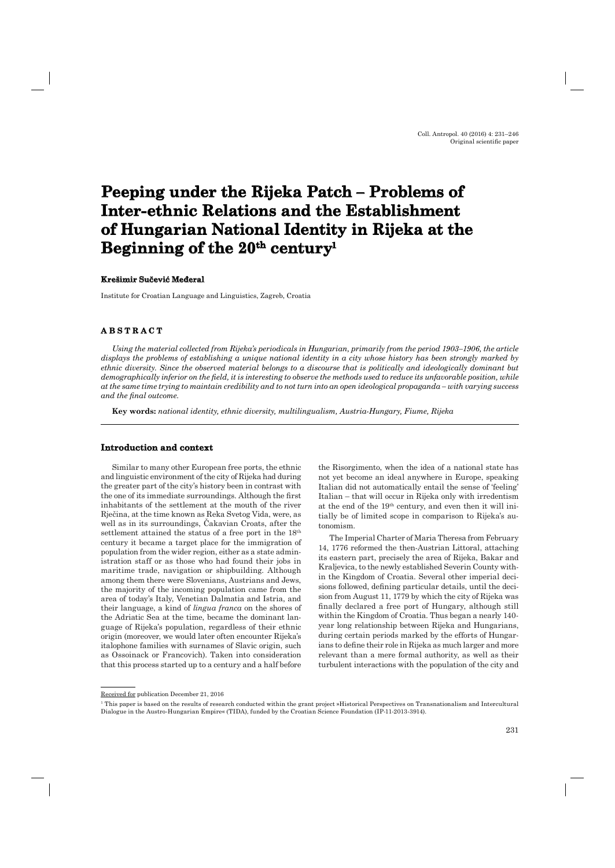# **Peeping under the Rijeka Patch – Problems of**  Inter-ethnic Relations and the Establishment of Hungarian National Identity in Rijeka at the Beginning of the 20<sup>th</sup> century<sup>1</sup>

#### **Krešimir Su čević Međeral**

Institute for Croatian Language and Linguistics, Zagreb, Croatia

## **A B S T R A C T ABSTRACT**

*Using the material collected from Rijeka's periodicals in Hungarian, primarily from the period 1903–1906, the article displays the problems of establishing a unique national identity in a city whose history has been strongly marked by ethnic diversity. Since the observed material belongs to a discourse that is politically and ideologically dominant but demographically inferior on the field, it is interesting to observe the methods used to reduce its unfavorable position, while at the same time trying to maintain credibility and to not turn into an open ideological propaganda – with varying success and the final outcome.* 

**Key words:** *national identity, ethnic diversity, multilingualism, Austria-Hungary, Fiume, Rijeka*

#### **Introduction and context**

Similar to many other European free ports, the ethnic and linguistic environment of the city of Rijeka had during the greater part of the city's history been in contrast with the one of its immediate surroundings. Although the first inhabitants of the settlement at the mouth of the river Rječina, at the time known as Reka Svetog Vida, were, as well as in its surroundings, Čakavian Croats, after the settlement attained the status of a free port in the 18<sup>th</sup> century it became a target place for the immigration of population from the wider region, either as a state administration staff or as those who had found their jobs in maritime trade, navigation or shipbuilding. Although among them there were Slovenians, Austrians and Jews, the majority of the incoming population came from the area of today's Italy, Venetian Dalmatia and Istria, and their language, a kind of *lingua franca* on the shores of the Adriatic Sea at the time, became the dominant language of Rijeka's population, regardless of their ethnic origin (moreover, we would later often encounter Rijeka's italophone families with surnames of Slavic origin, such as Ossoinack or Francovich). Taken into consideration that this process started up to a century and a half before

the Risorgimento, when the idea of a national state has not yet become an ideal anywhere in Europe, speaking Italian did not automatically entail the sense of 'feeling' Italian – that will occur in Rijeka only with irredentism at the end of the 19th century, and even then it will initially be of limited scope in comparison to Rijeka's autonomism.

The Imperial Charter of Maria Theresa from February 14, 1776 reformed the then-Austrian Littoral, attaching its eastern part, precisely the area of Rijeka, Bakar and Kraljevica, to the newly established Severin County within the Kingdom of Croatia. Several other imperial decisions followed, defining particular details, until the decision from August 11, 1779 by which the city of Rijeka was finally declared a free port of Hungary, although still within the Kingdom of Croatia. Thus began a nearly 140 year long relationship between Rijeka and Hungarians, during certain periods marked by the efforts of Hungarians to define their role in Rijeka as much larger and more relevant than a mere formal authority, as well as their turbulent interactions with the population of the city and

Received for publication December 21, 2016

<sup>1</sup> This paper is based on the results of research conducted within the grant project »Historical Perspectives on Transnationalism and Intercultural Dialogue in the Austro-Hungarian Empire« (TIDA), funded by the Croatian Science Foundation (IP-11-2013-3914).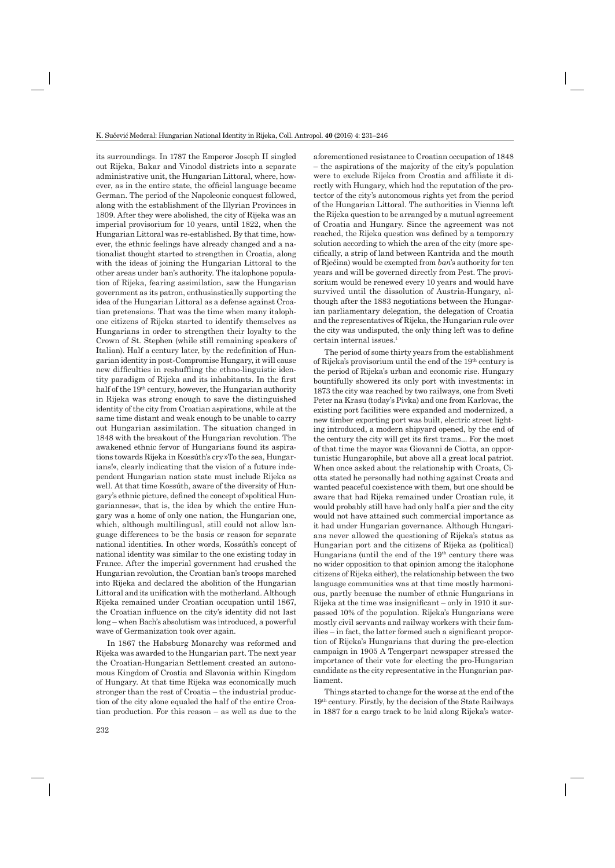its surroundings. In 1787 the Emperor Joseph II singled out Rijeka, Bakar and Vinodol districts into a separate administrative unit, the Hungarian Littoral, where, however, as in the entire state, the official language became German. The period of the Napoleonic conquest followed, along with the establishment of the Illyrian Provinces in 1809. After they were abolished, the city of Rijeka was an imperial provisorium for 10 years, until 1822, when the Hungarian Littoral was re-established. By that time, however, the ethnic feelings have already changed and a nationalist thought started to strengthen in Croatia, along with the ideas of joining the Hungarian Littoral to the other areas under ban's authority. The italophone population of Rijeka, fearing assimilation, saw the Hungarian government as its patron, enthusiastically supporting the idea of the Hungarian Littoral as a defense against Croatian pretensions. That was the time when many italophone citizens of Rijeka started to identify themselves as Hungarians in order to strengthen their loyalty to the Crown of St. Stephen (while still remaining speakers of Italian). Half a century later, by the redefinition of Hungarian identity in post-Compromise Hungary, it will cause new difficulties in reshuffling the ethno-linguistic identity paradigm of Rijeka and its inhabitants. In the first half of the 19<sup>th</sup> century, however, the Hungarian authority in Rijeka was strong enough to save the distinguished identity of the city from Croatian aspirations, while at the same time distant and weak enough to be unable to carry out Hungarian assimilation. The situation changed in 1848 with the breakout of the Hungarian revolution. The awakened ethnic fervor of Hungarians found its aspirations towards Rijeka in Kossúth's cry »To the sea, Hungarians!«, clearly indicating that the vision of a future independent Hungarian nation state must include Rijeka as well. At that time Kossúth, aware of the diversity of Hungary's ethnic picture, defined the concept of »political Hungarianness«, that is, the idea by which the entire Hungary was a home of only one nation, the Hungarian one, which, although multilingual, still could not allow language differences to be the basis or reason for separate national identities. In other words, Kossúth's concept of national identity was similar to the one existing today in France. After the imperial government had crushed the Hungarian revolution, the Croatian ban's troops marched into Rijeka and declared the abolition of the Hungarian Littoral and its unification with the motherland. Although Rijeka remained under Croatian occupation until 1867, the Croatian influence on the city's identity did not last long – when Bach's absolutism was introduced, a powerful wave of Germanization took over again.

In 1867 the Habsburg Monarchy was reformed and Rijeka was awarded to the Hungarian part. The next year the Croatian-Hungarian Settlement created an autonomous Kingdom of Croatia and Slavonia within Kingdom of Hungary. At that time Rijeka was economically much stronger than the rest of Croatia – the industrial production of the city alone equaled the half of the entire Croatian production. For this reason – as well as due to the

aforementioned resistance to Croatian occupation of 1848 – the aspirations of the majority of the city's population were to exclude Rijeka from Croatia and affiliate it directly with Hungary, which had the reputation of the protector of the city's autonomous rights yet from the period of the Hungarian Littoral. The authorities in Vienna left the Rijeka question to be arranged by a mutual agreement of Croatia and Hungary. Since the agreement was not reached, the Rijeka question was defined by a temporary solution according to which the area of the city (more specifically, a strip of land between Kantrida and the mouth of Rječina) would be exempted from *ban*'s authority for ten years and will be governed directly from Pest. The provisorium would be renewed every 10 years and would have survived until the dissolution of Austria-Hungary, although after the 1883 negotiations between the Hungarian parliamentary delegation, the delegation of Croatia and the representatives of Rijeka, the Hungarian rule over the city was undisputed, the only thing left was to define certain internal issues.<sup>1</sup>

The period of some thirty years from the establishment of Rijeka's provisorium until the end of the 19th century is the period of Rijeka's urban and economic rise. Hungary bountifully showered its only port with investments: in 1873 the city was reached by two railways, one from Sveti Peter na Krasu (today's Pivka) and one from Karlovac, the existing port facilities were expanded and modernized, a new timber exporting port was built, electric street lighting introduced, a modern shipyard opened, by the end of the century the city will get its first trams... For the most of that time the mayor was Giovanni de Ciotta, an opportunistic Hungarophile, but above all a great local patriot. When once asked about the relationship with Croats, Ciotta stated he personally had nothing against Croats and wanted peaceful coexistence with them, but one should be aware that had Rijeka remained under Croatian rule, it would probably still have had only half a pier and the city would not have attained such commercial importance as it had under Hungarian governance. Although Hungarians never allowed the questioning of Rijeka's status as Hungarian port and the citizens of Rijeka as (political) Hungarians (until the end of the 19th century there was no wider opposition to that opinion among the italophone citizens of Rijeka either), the relationship between the two language communities was at that time mostly harmonious, partly because the number of ethnic Hungarians in Rijeka at the time was insignificant  $-$  only in 1910 it surpassed 10% of the population. Rijeka's Hungarians were mostly civil servants and railway workers with their families – in fact, the latter formed such a significant proportion of Rijeka's Hungarians that during the pre-election campaign in 1905 A Tengerpart newspaper stressed the importance of their vote for electing the pro-Hungarian candidate as the city representative in the Hungarian parliament.

Things started to change for the worse at the end of the 19th century. Firstly, by the decision of the State Railways in 1887 for a cargo track to be laid along Rijeka's water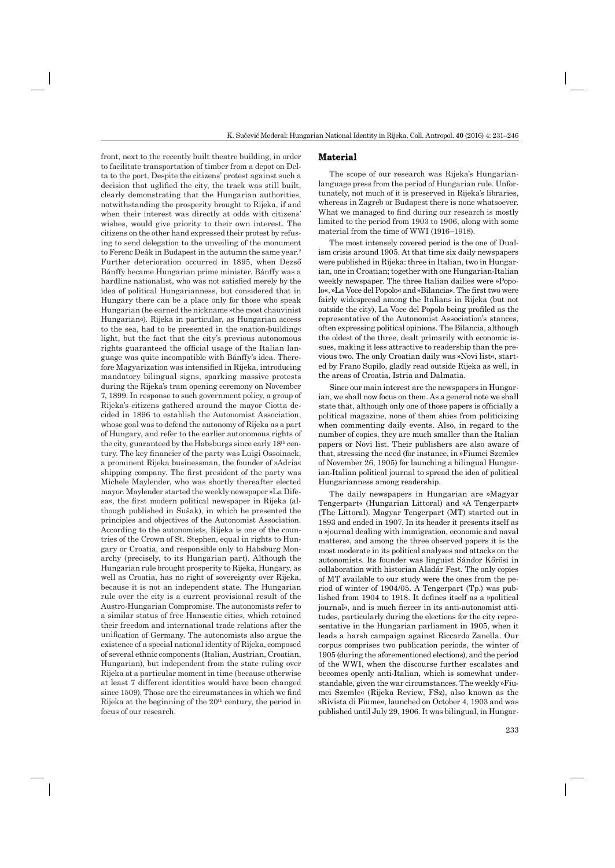front, next to the recently built theatre building, in order to facilitate transportation of timber from a depot on Delta to the port. Despite the citizens' protest against such a decision that uglified the city, the track was still built, clearly demonstrating that the Hungarian authorities, notwithstanding the prosperity brought to Rijeka, if and when their interest was directly at odds with citizens' wishes, would give priority to their own interest. The citizens on the other hand expressed their protest by refusing to send delegation to the unveiling of the monument to Ferenc Deák in Budapest in the autumn the same year.<sup>2</sup> Further deterioration occurred in 1895, when Dezső Bánffy became Hungarian prime minister. Bánffy was a hardline nationalist, who was not satisfied merely by the idea of political Hungarianness, but considered that in Hungary there can be a place only for those who speak Hungarian (he earned the nickname »the most chauvinist Hungarian«). Rijeka in particular, as Hungarian access to the sea, had to be presented in the »nation-building« light, but the fact that the city's previous autonomous rights guaranteed the official usage of the Italian language was quite incompatible with Bánffy's idea. Therefore Magyarization was intensified in Rijeka, introducing mandatory bilingual signs, sparking massive protests during the Rijeka's tram opening ceremony on November 7, 1899. In response to such government policy, a group of Rijeka's citizens gathered around the mayor Ciotta decided in 1896 to establish the Autonomist Association, whose goal was to defend the autonomy of Rijeka as a part of Hungary, and refer to the earlier autonomous rights of the city, guaranteed by the Habsburgs since early 18th century. The key financier of the party was Luigi Ossoinack, a prominent Rijeka businessman, the founder of »Adria« shipping company. The first president of the party was Michele Maylender, who was shortly thereafter elected mayor. Maylender started the weekly newspaper »La Difesa«, the first modern political newspaper in Rijeka (although published in Sušak), in which he presented the principles and objectives of the Autonomist Association. According to the autonomists, Rijeka is one of the countries of the Crown of St. Stephen, equal in rights to Hungary or Croatia, and responsible only to Habsburg Monarchy (precisely, to its Hungarian part). Although the Hungarian rule brought prosperity to Rijeka, Hungary, as well as Croatia, has no right of sovereignty over Rijeka, because it is not an independent state. The Hungarian rule over the city is a current provisional result of the Austro-Hungarian Compromise. The autonomists refer to a similar status of free Hanseatic cities, which retained their freedom and international trade relations after the unification of Germany. The autonomists also argue the existence of a special national identity of Rijeka, composed of several ethnic components (Italian, Austrian, Croatian, Hungarian), but independent from the state ruling over Rijeka at a particular moment in time (because otherwise at least 7 different identities would have been changed since 1509). Those are the circumstances in which we find Rijeka at the beginning of the  $20<sup>th</sup>$  century, the period in focus of our research.

#### **Material**

The scope of our research was Rijeka's Hungarianlanguage press from the period of Hungarian rule. Unfortunately, not much of it is preserved in Rijeka's libraries, whereas in Zagreb or Budapest there is none whatsoever. What we managed to find during our research is mostly limited to the period from 1903 to 1906, along with some material from the time of WWI (1916–1918).

The most intensely covered period is the one of Dualism crisis around 1905. At that time six daily newspapers were published in Rijeka: three in Italian, two in Hungarian, one in Croatian; together with one Hungarian-Italian weekly newspaper. The three Italian dailies were »Popolo«, »La Voce del Popolo« and »Bilancia«. The first two were fairly widespread among the Italians in Rijeka (but not outside the city), La Voce del Popolo being profiled as the representative of the Autonomist Association's stances, often expressing political opinions. The Bilancia, although the oldest of the three, dealt primarily with economic issues, making it less attractive to readership than the previous two. The only Croatian daily was »Novi list«, started by Frano Supilo, gladly read outside Rijeka as well, in the areas of Croatia, Istria and Dalmatia.

Since our main interest are the newspapers in Hungarian, we shall now focus on them. As a general note we shall state that, although only one of those papers is officially a political magazine, none of them shies from politicizing when commenting daily events. Also, in regard to the number of copies, they are much smaller than the Italian papers or Novi list. Their publishers are also aware of that, stressing the need (for instance, in »Fiumei Szemle« of November 26, 1905) for launching a bilingual Hungarian-Italian political journal to spread the idea of political Hungarianness among readership.

The daily newspapers in Hungarian are »Magyar Tengerpart« (Hungarian Littoral) and »A Tengerpart« (The Littoral). Magyar Tengerpart (MT) started out in 1893 and ended in 1907. In its header it presents itself as a »journal dealing with immigration, economic and naval matters«, and among the three observed papers it is the most moderate in its political analyses and attacks on the autonomists. Its founder was linguist Sándor Kőrösi in collaboration with historian Aladár Fest. The only copies of MT available to our study were the ones from the period of winter of 1904/05. A Tengerpart (Tp.) was published from 1904 to 1918. It defines itself as a »political journal«, and is much fiercer in its anti-autonomist attitudes, particularly during the elections for the city representative in the Hungarian parliament in 1905, when it leads a harsh campaign against Riccardo Zanella. Our corpus comprises two publication periods, the winter of 1905 (during the aforementioned elections), and the period of the WWI, when the discourse further escalates and becomes openly anti-Italian, which is somewhat understandable, given the war circumstances. The weekly »Fiumei Szemle« (Rijeka Review, FSz), also known as the »Rivista di Fiume«, launched on October 4, 1903 and was published until July 29, 1906. It was bilingual, in Hungar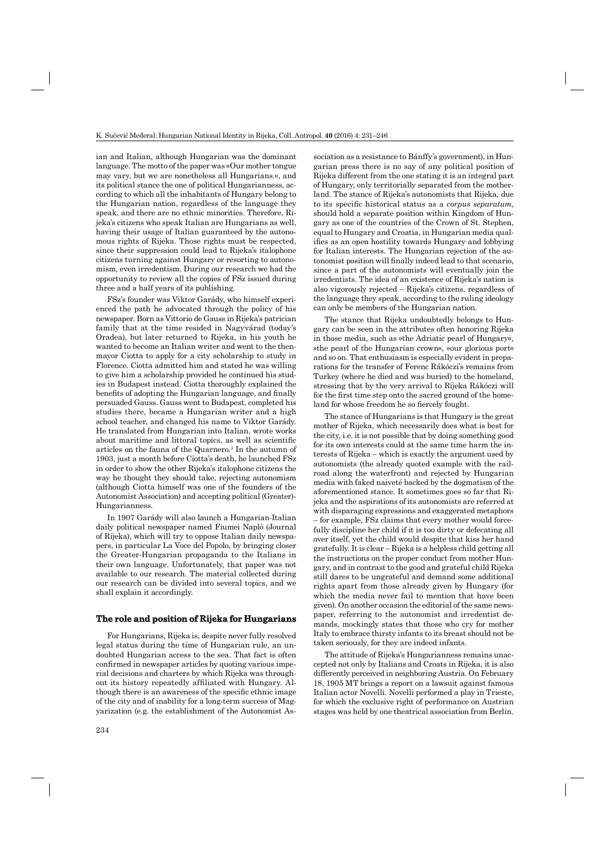ian and Italian, although Hungarian was the dominant language. The motto of the paper was »Our mother tongue may vary, but we are nonetheless all Hungarians.«, and its political stance the one of political Hungarianness, according to which all the inhabitants of Hungary belong to the Hungarian nation, regardless of the language they speak, and there are no ethnic minorities. Therefore, Rijeka's citizens who speak Italian are Hungarians as well, having their usage of Italian guaranteed by the autonomous rights of Rijeka. Those rights must be respected, since their suppression could lead to Rijeka's italophone citizens turning against Hungary or resorting to autonomism, even irredentism. During our research we had the opportunity to review all the copies of FSz issued during three and a half years of its publishing.

FSz's founder was Viktor Garády, who himself experienced the path he advocated through the policy of his newspaper. Born as Vittorio de Gauss in Rijeka's patrician family that at the time resided in Nagyvárad (today's Oradea), but later returned to Rijeka, in his youth he wanted to become an Italian writer and went to the thenmayor Ciotta to apply for a city scholarship to study in Florence. Ciotta admitted him and stated he was willing to give him a scholarship provided he continued his studies in Budapest instead. Ciotta thoroughly explained the benefits of adopting the Hungarian language, and finally persuaded Gauss. Gauss went to Budapest, completed his studies there, became a Hungarian writer and a high school teacher, and changed his name to Viktor Garády. He translated from Hungarian into Italian, wrote works about maritime and littoral topics, as well as scientific articles on the fauna of the Quarnero.3 In the autumn of 1903, just a month before Ciotta's death, he launched FSz in order to show the other Rijeka's italophone citizens the way he thought they should take, rejecting autonomism (although Ciotta himself was one of the founders of the Autonomist Association) and accepting political (Greater)- Hungarianness.

In 1907 Garády will also launch a Hungarian-Italian daily political newspaper named Fiumei Napló (Journal of Rijeka), which will try to oppose Italian daily newspapers, in particular La Voce del Popolo, by bringing closer the Greater-Hungarian propaganda to the Italians in their own language. Unfortunately, that paper was not available to our research. The material collected during our research can be divided into several topics, and we shall explain it accordingly.

#### **The role and position of Rijeka for Hungarians and**

For Hungarians, Rijeka is, despite never fully resolved legal status during the time of Hungarian rule, an undoubted Hungarian access to the sea. That fact is often confirmed in newspaper articles by quoting various imperial decisions and charters by which Rijeka was throughout its history repeatedly affiliated with Hungary. Although there is an awareness of the specific ethnic image of the city and of inability for a long-term success of Magyarization (e.g. the establishment of the Autonomist As-

sociation as a resistance to Bánffy's government), in Hungarian press there is no say of any political position of Rijeka different from the one stating it is an integral part of Hungary, only territorially separated from the motherland. The stance of Rijeka's autonomists that Rijeka, due to its specific historical status as a *corpus separatum*, should hold a separate position within Kingdom of Hungary as one of the countries of the Crown of St. Stephen, equal to Hungary and Croatia, in Hungarian media qualifies as an open hostility towards Hungary and lobbying for Italian interests. The Hungarian rejection of the autonomist position will finally indeed lead to that scenario, since a part of the autonomists will eventually join the irredentists. The idea of an existence of Rijeka's nation is also vigorously rejected – Rijeka's citizens, regardless of the language they speak, according to the ruling ideology can only be members of the Hungarian nation.

The stance that Rijeka undoubtedly belongs to Hungary can be seen in the attributes often honoring Rijeka in those media, such as »the Adriatic pearl of Hungary«, »the pearl of the Hungarian crown«, »our glorious port« and so on. That enthusiasm is especially evident in preparations for the transfer of Ferenc Rákóczi's remains from Turkey (where he died and was buried) to the homeland, stressing that by the very arrival to Rijeka Rákóczi will for the first time step onto the sacred ground of the homeland for whose freedom he so fiercely fought.

The stance of Hungarians is that Hungary is the great mother of Rijeka, which necessarily does what is best for the city, i.e. it is not possible that by doing something good for its own interests could at the same time harm the interests of Rijeka – which is exactly the argument used by autonomists (the already quoted example with the railroad along the waterfront) and rejected by Hungarian media with faked naiveté backed by the dogmatism of the aforementioned stance. It sometimes goes so far that Rijeka and the aspirations of its autonomists are referred at with disparaging expressions and exaggerated metaphors – for example, FSz claims that every mother would forcefully discipline her child if it is too dirty or defecating all over itself, yet the child would despite that kiss her hand gratefully. It is clear – Rijeka is a helpless child getting all the instructions on the proper conduct from mother Hungary, and in contrast to the good and grateful child Rijeka still dares to be ungrateful and demand some additional rights apart from those already given by Hungary (for which the media never fail to mention that have been given). On another occasion the editorial of the same newspaper, referring to the autonomist and irredentist demands, mockingly states that those who cry for mother Italy to embrace thirsty infants to its breast should not be taken seriously, for they are indeed infants.

The attitude of Rijeka's Hungarianness remains unaccepted not only by Italians and Croats in Rijeka, it is also differently perceived in neighboring Austria. On February 18, 1905 MT brings a report on a lawsuit against famous Italian actor Novelli. Novelli performed a play in Trieste, for which the exclusive right of performance on Austrian stages was held by one theatrical association from Berlin.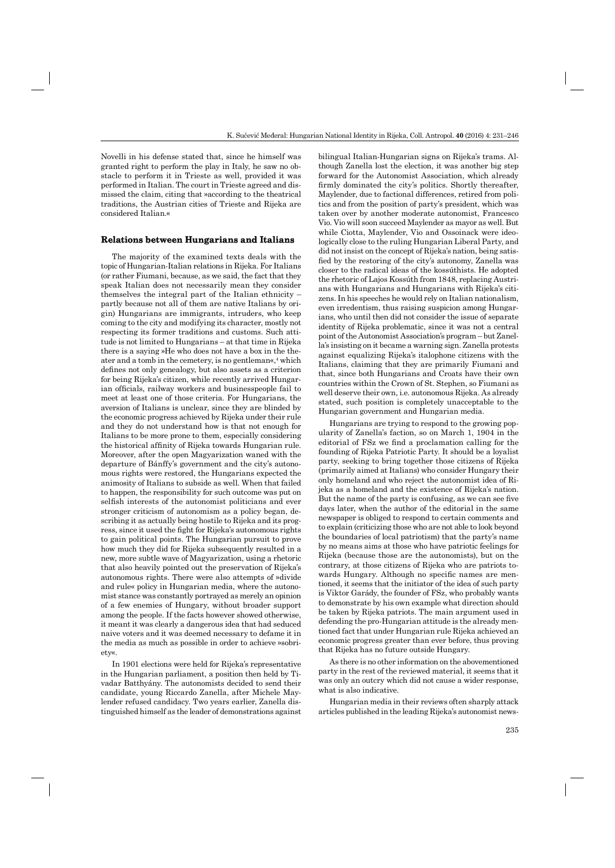Novelli in his defense stated that, since he himself was granted right to perform the play in Italy, he saw no obstacle to perform it in Trieste as well, provided it was performed in Italian. The court in Trieste agreed and dismissed the claim, citing that »according to the theatrical traditions, the Austrian cities of Trieste and Rijeka are considered Italian.«

#### **Relations between Hungarians and Italians**

The majority of the examined texts deals with the topic of Hungarian-Italian relations in Rijeka. For Italians (or rather Fiumani, because, as we said, the fact that they speak Italian does not necessarily mean they consider themselves the integral part of the Italian ethnicity – partly because not all of them are native Italians by origin) Hungarians are immigrants, intruders, who keep coming to the city and modifying its character, mostly not respecting its former traditions and customs. Such attitude is not limited to Hungarians – at that time in Rijeka there is a saying »He who does not have a box in the theater and a tomb in the cemetery, is no gentleman«,<sup>4</sup> which defines not only genealogy, but also assets as a criterion for being Rijeka's citizen, while recently arrived Hungarian officials, railway workers and businesspeople fail to meet at least one of those criteria. For Hungarians, the aversion of Italians is unclear, since they are blinded by the economic progress achieved by Rijeka under their rule and they do not understand how is that not enough for Italians to be more prone to them, especially considering the historical affinity of Rijeka towards Hungarian rule. Moreover, after the open Magyarization waned with the departure of Bánffy's government and the city's autonomous rights were restored, the Hungarians expected the animosity of Italians to subside as well. When that failed to happen, the responsibility for such outcome was put on selfish interests of the autonomist politicians and ever stronger criticism of autonomism as a policy began, describing it as actually being hostile to Rijeka and its progress, since it used the fight for Rijeka's autonomous rights to gain political points. The Hungarian pursuit to prove how much they did for Rijeka subsequently resulted in a new, more subtle wave of Magyarization, using a rhetoric that also heavily pointed out the preservation of Rijeka's autonomous rights. There were also attempts of »divide and rule« policy in Hungarian media, where the autonomist stance was constantly portrayed as merely an opinion of a few enemies of Hungary, without broader support among the people. If the facts however showed otherwise, it meant it was clearly a dangerous idea that had seduced naive voters and it was deemed necessary to defame it in the media as much as possible in order to achieve »sobriety«.

In 1901 elections were held for Rijeka's representative in the Hungarian parliament, a position then held by Tivadar Batthyány. The autonomists decided to send their candidate, young Riccardo Zanella, after Michele Maylender refused candidacy. Two years earlier, Zanella distinguished himself as the leader of demonstrations against bilingual Italian-Hungarian signs on Rijeka's trams. Although Zanella lost the election, it was another big step forward for the Autonomist Association, which already firmly dominated the city's politics. Shortly thereafter, Maylender, due to factional differences, retired from politics and from the position of party's president, which was taken over by another moderate autonomist, Francesco Vio. Vio will soon succeed Maylender as mayor as well. But while Ciotta, Maylender, Vio and Ossoinack were ideologically close to the ruling Hungarian Liberal Party, and did not insist on the concept of Rijeka's nation, being satisfied by the restoring of the city's autonomy, Zanella was closer to the radical ideas of the kossúthists. He adopted the rhetoric of Lajos Kossúth from 1848, replacing Austrians with Hungarians and Hungarians with Rijeka's citizens. In his speeches he would rely on Italian nationalism, even irredentism, thus raising suspicion among Hungarians, who until then did not consider the issue of separate identity of Rijeka problematic, since it was not a central point of the Autonomist Association's program – but Zanella's insisting on it became a warning sign. Zanella protests against equalizing Rijeka's italophone citizens with the Italians, claiming that they are primarily Fiumani and that, since both Hungarians and Croats have their own countries within the Crown of St. Stephen, so Fiumani as well deserve their own, i.e. autonomous Rijeka. As already stated, such position is completely unacceptable to the Hungarian government and Hungarian media.

Hungarians are trying to respond to the growing popularity of Zanella's faction, so on March 1, 1904 in the editorial of FSz we find a proclamation calling for the founding of Rijeka Patriotic Party. It should be a loyalist party, seeking to bring together those citizens of Rijeka (primarily aimed at Italians) who consider Hungary their only homeland and who reject the autonomist idea of Rijeka as a homeland and the existence of Rijeka's nation. But the name of the party is confusing, as we can see five days later, when the author of the editorial in the same newspaper is obliged to respond to certain comments and to explain (criticizing those who are not able to look beyond the boundaries of local patriotism) that the party's name by no means aims at those who have patriotic feelings for Rijeka (because those are the autonomists), but on the contrary, at those citizens of Rijeka who are patriots towards Hungary. Although no specific names are mentioned, it seems that the initiator of the idea of such party is Viktor Garády, the founder of FSz, who probably wants to demonstrate by his own example what direction should be taken by Rijeka patriots. The main argument used in defending the pro-Hungarian attitude is the already mentioned fact that under Hungarian rule Rijeka achieved an economic progress greater than ever before, thus proving that Rijeka has no future outside Hungary.

As there is no other information on the abovementioned party in the rest of the reviewed material, it seems that it was only an outcry which did not cause a wider response, what is also indicative.

Hungarian media in their reviews often sharply attack articles published in the leading Rijeka's autonomist news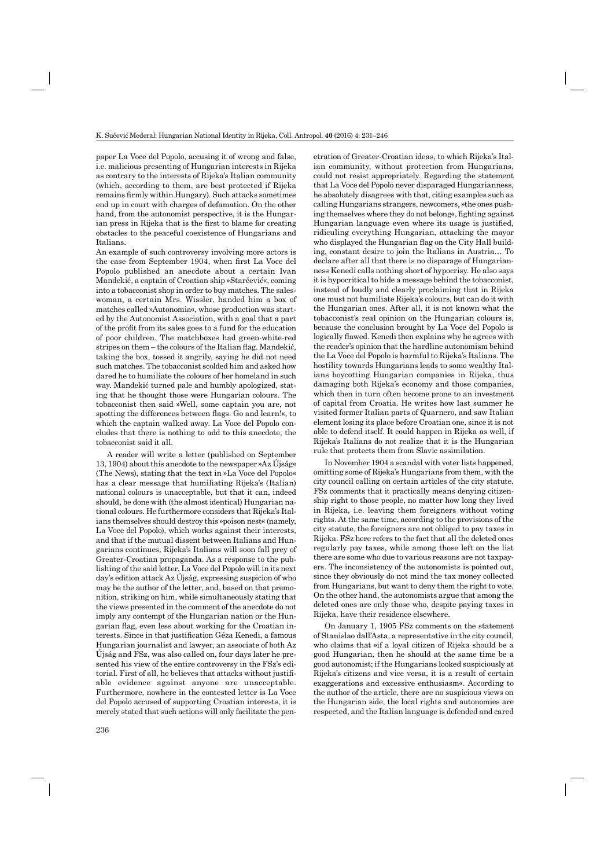paper La Voce del Popolo, accusing it of wrong and false, i.e. malicious presenting of Hungarian interests in Rijeka as contrary to the interests of Rijeka's Italian community (which, according to them, are best protected if Rijeka remains firmly within Hungary). Such attacks sometimes end up in court with charges of defamation. On the other hand, from the autonomist perspective, it is the Hungarian press in Rijeka that is the first to blame for creating obstacles to the peaceful coexistence of Hungarians and Italians.

An example of such controversy involving more actors is the case from September 1904, when first La Voce del Popolo published an anecdote about a certain Ivan Mandekić, a captain of Croatian ship »Starčević«, coming into a tobacconist shop in order to buy matches. The saleswoman, a certain Mrs. Wissler, handed him a box of matches called »Autonomia«, whose production was started by the Autonomist Association, with a goal that a part of the profit from its sales goes to a fund for the education of poor children. The matchboxes had green-white-red  $stripes on them - the colours of the Italian flag. Mandekić,$ taking the box, tossed it angrily, saying he did not need such matches. The tobacconist scolded him and asked how dared he to humiliate the colours of her homeland in such way. Mandekić turned pale and humbly apologized, stating that he thought those were Hungarian colours. The tobacconist then said »Well, some captain you are, not spotting the differences between flags. Go and learn!«, to which the captain walked away. La Voce del Popolo concludes that there is nothing to add to this anecdote, the tobacconist said it all.

A reader will write a letter (published on September 13, 1904) about this anecdote to the newspaper »Az Újság« (The News), stating that the text in »La Voce del Popolo« has a clear message that humiliating Rijeka's (Italian) national colours is unacceptable, but that it can, indeed should, be done with (the almost identical) Hungarian national colours. He furthermore considers that Rijeka's Italians themselves should destroy this »poison nest« (namely, La Voce del Popolo), which works against their interests, and that if the mutual dissent between Italians and Hungarians continues, Rijeka's Italians will soon fall prey of Greater-Croatian propaganda. As a response to the publishing of the said letter, La Voce del Popolo will in its next day's edition attack Az Újság, expressing suspicion of who may be the author of the letter, and, based on that premonition, striking on him, while simultaneously stating that the views presented in the comment of the anecdote do not imply any contempt of the Hungarian nation or the Hungarian flag, even less about working for the Croatian interests. Since in that justification Géza Kenedi, a famous Hungarian journalist and lawyer, an associate of both Az Újság and FSz, was also called on, four days later he presented his view of the entire controversy in the FSz's editorial. First of all, he believes that attacks without justifiable evidence against anyone are unacceptable. Furthermore, nowhere in the contested letter is La Voce del Popolo accused of supporting Croatian interests, it is merely stated that such actions will only facilitate the pen-

etration of Greater-Croatian ideas, to which Rijeka's Italian community, without protection from Hungarians, could not resist appropriately. Regarding the statement that La Voce del Popolo never disparaged Hungarianness, he absolutely disagrees with that, citing examples such as calling Hungarians strangers, newcomers, »the ones pushing themselves where they do not belong «, fighting against Hungarian language even where its usage is justified, ridiculing everything Hungarian, attacking the mayor who displayed the Hungarian flag on the City Hall building, constant desire to join the Italians in Austria… To declare after all that there is no disparage of Hungarianness Kenedi calls nothing short of hypocrisy. He also says it is hypocritical to hide a message behind the tobacconist, instead of loudly and clearly proclaiming that in Rijeka one must not humiliate Rijeka's colours, but can do it with the Hungarian ones. After all, it is not known what the tobacconist's real opinion on the Hungarian colours is, because the conclusion brought by La Voce del Popolo is logically flawed. Kenedi then explains why he agrees with the reader's opinion that the hardline autonomism behind the La Voce del Popolo is harmful to Rijeka's Italians. The hostility towards Hungarians leads to some wealthy Italians boycotting Hungarian companies in Rijeka, thus damaging both Rijeka's economy and those companies, which then in turn often become prone to an investment of capital from Croatia. He writes how last summer he visited former Italian parts of Quarnero, and saw Italian element losing its place before Croatian one, since it is not able to defend itself. It could happen in Rijeka as well, if Rijeka's Italians do not realize that it is the Hungarian rule that protects them from Slavic assimilation.

In November 1904 a scandal with voter lists happened, omitting some of Rijeka's Hungarians from them, with the city council calling on certain articles of the city statute. FSz comments that it practically means denying citizenship right to those people, no matter how long they lived in Rijeka, i.e. leaving them foreigners without voting rights. At the same time, according to the provisions of the city statute, the foreigners are not obliged to pay taxes in Rijeka. FSz here refers to the fact that all the deleted ones regularly pay taxes, while among those left on the list there are some who due to various reasons are not taxpayers. The inconsistency of the autonomists is pointed out, since they obviously do not mind the tax money collected from Hungarians, but want to deny them the right to vote. On the other hand, the autonomists argue that among the deleted ones are only those who, despite paying taxes in Rijeka, have their residence elsewhere.

On January 1, 1905 FSz comments on the statement of Stanislao dall'Asta, a representative in the city council, who claims that »if a loyal citizen of Rijeka should be a good Hungarian, then he should at the same time be a good autonomist; if the Hungarians looked suspiciously at Rijeka's citizens and vice versa, it is a result of certain exaggerations and excessive enthusiasm«. According to the author of the article, there are no suspicious views on the Hungarian side, the local rights and autonomies are respected, and the Italian language is defended and cared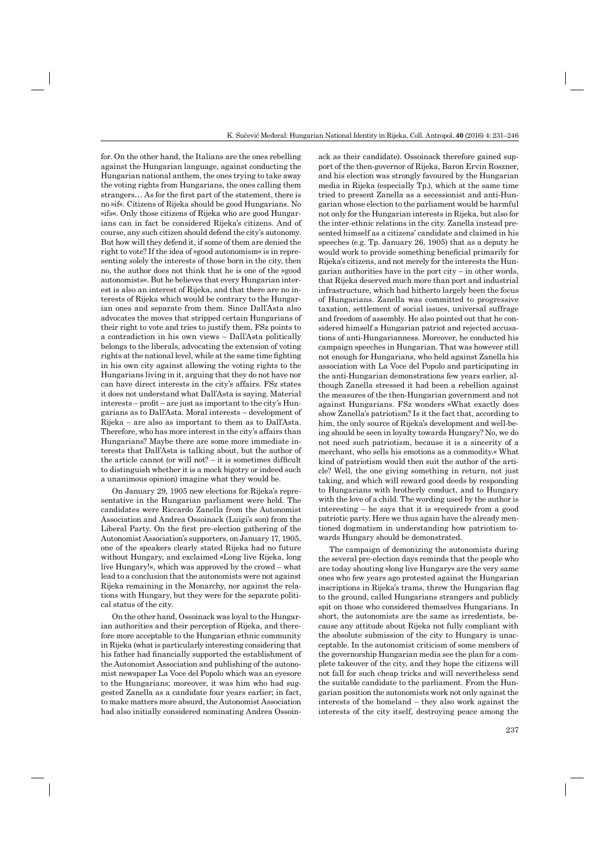for. On the other hand, the Italians are the ones rebelling against the Hungarian language, against conducting the Hungarian national anthem, the ones trying to take away the voting rights from Hungarians, the ones calling them strangers... As for the first part of the statement, there is no »if«. Citizens of Rijeka should be good Hungarians. No »ifs«. Only those citizens of Rijeka who are good Hungarians can in fact be considered Rijeka's citizens. And of course, any such citizen should defend the city's autonomy. But how will they defend it, if some of them are denied the right to vote? If the idea of »good autonomism« is in representing solely the interests of those born in the city, then no, the author does not think that he is one of the »good autonomists«. But he believes that every Hungarian interest is also an interest of Rijeka, and that there are no interests of Rijeka which would be contrary to the Hungarian ones and separate from them. Since Dall'Asta also advocates the moves that stripped certain Hungarians of their right to vote and tries to justify them, FSz points to a contradiction in his own views – Dall'Asta politically belongs to the liberals, advocating the extension of voting rights at the national level, while at the same time fighting in his own city against allowing the voting rights to the Hungarians living in it, arguing that they do not have nor can have direct interests in the city's affairs. FSz states it does not understand what Dall'Asta is saying. Material  $interests - profit - are just as important to the city's Hun$ garians as to Dall'Asta. Moral interests – development of Rijeka – are also as important to them as to Dall'Asta. Therefore, who has more interest in the city's affairs than Hungarians? Maybe there are some more immediate interests that Dall'Asta is talking about, but the author of the article cannot (or will not?  $-$  it is sometimes difficult to distinguish whether it is a mock bigotry or indeed such a unanimous opinion) imagine what they would be.

On January 29, 1905 new elections for Rijeka's representative in the Hungarian parliament were held. The candidates were Riccardo Zanella from the Autonomist Association and Andrea Ossoinack (Luigi's son) from the Liberal Party. On the first pre-election gathering of the Autonomist Association's supporters, on January 17, 1905, one of the speakers clearly stated Rijeka had no future without Hungary, and exclaimed »Long live Rijeka, long live Hungary!«, which was approved by the crowd – what lead to a conclusion that the autonomists were not against Rijeka remaining in the Monarchy, nor against the relations with Hungary, but they were for the separate political status of the city.

On the other hand, Ossoinack was loyal to the Hungarian authorities and their perception of Rijeka, and therefore more acceptable to the Hungarian ethnic community in Rijeka (what is particularly interesting considering that his father had financially supported the establishment of the Autonomist Association and publishing of the autonomist newspaper La Voce del Popolo which was an eyesore to the Hungarians; moreover, it was him who had suggested Zanella as a candidate four years earlier; in fact, to make matters more absurd, the Autonomist Association had also initially considered nominating Andrea Ossoinack as their candidate). Ossoinack therefore gained support of the then-governor of Rijeka, Baron Ervin Roszner, and his election was strongly favoured by the Hungarian media in Rijeka (especially Tp.), which at the same time tried to present Zanella as a secessionist and anti-Hungarian whose election to the parliament would be harmful not only for the Hungarian interests in Rijeka, but also for the inter-ethnic relations in the city. Zanella instead presented himself as a citizens' candidate and claimed in his speeches (e.g. Tp. January 26, 1905) that as a deputy he would work to provide something beneficial primarily for Rijeka's citizens, and not merely for the interests the Hungarian authorities have in the port  $city - in$  other words, that Rijeka deserved much more than port and industrial infrastructure, which had hitherto largely been the focus of Hungarians. Zanella was committed to progressive taxation, settlement of social issues, universal suffrage and freedom of assembly. He also pointed out that he considered himself a Hungarian patriot and rejected accusations of anti-Hungarianness. Moreover, he conducted his campaign speeches in Hungarian. That was however still not enough for Hungarians, who held against Zanella his association with La Voce del Popolo and participating in the anti-Hungarian demonstrations few years earlier, although Zanella stressed it had been a rebellion against the measures of the then-Hungarian government and not against Hungarians. FSz wonders »What exactly does show Zanella's patriotism? Is it the fact that, according to him, the only source of Rijeka's development and well-being should be seen in loyalty towards Hungary? No, we do not need such patriotism, because it is a sincerity of a merchant, who sells his emotions as a commodity.« What kind of patriotism would then suit the author of the article? Well, the one giving something in return, not just taking, and which will reward good deeds by responding to Hungarians with brotherly conduct, and to Hungary with the love of a child. The wording used by the author is interesting – he says that it is »required« from a good patriotic party. Here we thus again have the already mentioned dogmatism in understanding how patriotism towards Hungary should be demonstrated.

The campaign of demonizing the autonomists during the several pre-election days reminds that the people who are today shouting »long live Hungary« are the very same ones who few years ago protested against the Hungarian inscriptions in Rijeka's trams, threw the Hungarian flag to the ground, called Hungarians strangers and publicly spit on those who considered themselves Hungarians. In short, the autonomists are the same as irredentists, because any attitude about Rijeka not fully compliant with the absolute submission of the city to Hungary is unacceptable. In the autonomist criticism of some members of the governorship Hungarian media see the plan for a complete takeover of the city, and they hope the citizens will not fall for such cheap tricks and will nevertheless send the suitable candidate to the parliament. From the Hungarian position the autonomists work not only against the interests of the homeland – they also work against the interests of the city itself, destroying peace among the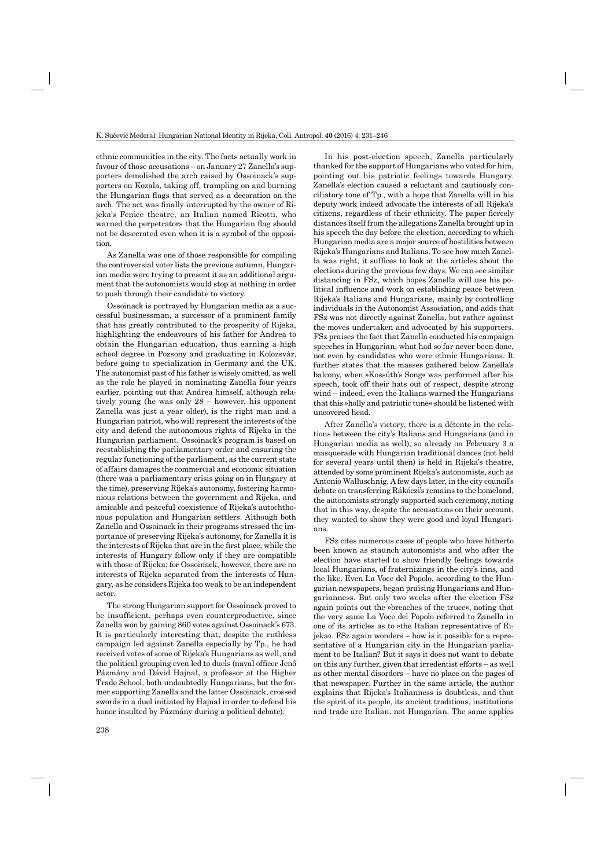ethnic communities in the city. The facts actually work in favour of those accusations – on January 27 Zanella's supporters demolished the arch raised by Ossoinack's supporters on Kozala, taking off, trampling on and burning the Hungarian flags that served as a decoration on the arch. The act was finally interrupted by the owner of Rijeka's Fenice theatre, an Italian named Ricotti, who warned the perpetrators that the Hungarian flag should not be desecrated even when it is a symbol of the opposition.

As Zanella was one of those responsible for compiling the controversial voter lists the previous autumn, Hungarian media were trying to present it as an additional argument that the autonomists would stop at nothing in order to push through their candidate to victory.

Ossoinack is portrayed by Hungarian media as a successful businessman, a successor of a prominent family that has greatly contributed to the prosperity of Rijeka, highlighting the endeavours of his father for Andrea to obtain the Hungarian education, thus earning a high school degree in Pozsony and graduating in Kolozsvár, before going to specialization in Germany and the UK. The autonomist past of his father is wisely omitted, as well as the role he played in nominating Zanella four years earlier, pointing out that Andrea himself, although relatively young (he was only 28 – however, his opponent Zanella was just a year older), is the right man and a Hungarian patriot, who will represent the interests of the city and defend the autonomous rights of Rijeka in the Hungarian parliament. Ossoinack's program is based on reestablishing the parliamentary order and ensuring the regular functioning of the parliament, as the current state of affairs damages the commercial and economic situation (there was a parliamentary crisis going on in Hungary at the time), preserving Rijeka's autonomy, fostering harmonious relations between the government and Rijeka, and amicable and peaceful coexistence of Rijeka's autochthonous population and Hungarian settlers. Although both Zanella and Ossoinack in their programs stressed the importance of preserving Rijeka's autonomy, for Zanella it is the interests of Rijeka that are in the first place, while the interests of Hungary follow only if they are compatible with those of Rijeka; for Ossoinack, however, there are no interests of Rijeka separated from the interests of Hungary, as he considers Rijeka too weak to be an independent actor.

The strong Hungarian support for Ossoinack proved to be insufficient, perhaps even counterproductive, since Zanella won by gaining 860 votes against Ossoinack's 673. It is particularly interesting that, despite the ruthless campaign led against Zanella especially by Tp., he had received votes of some of Rijeka's Hungarians as well, and the political grouping even led to duels (naval officer Jenő Pázmány and Dávid Hajnal, a professor at the Higher Trade School, both undoubtedly Hungarians, but the former supporting Zanella and the latter Ossoinack, crossed swords in a duel initiated by Hajnal in order to defend his honor insulted by Pázmány during a political debate).

In his post-election speech, Zanella particularly thanked for the support of Hungarians who voted for him, pointing out his patriotic feelings towards Hungary. Zanella's election caused a reluctant and cautiously conciliatory tone of Tp., with a hope that Zanella will in his deputy work indeed advocate the interests of all Rijeka's citizens, regardless of their ethnicity. The paper fiercely distances itself from the allegations Zanella brought up in his speech the day before the election, according to which Hungarian media are a major source of hostilities between Rijeka's Hungarians and Italians. To see how much Zanella was right, it suffices to look at the articles about the elections during the previous few days. We can see similar distancing in FSz, which hopes Zanella will use his political influence and work on establishing peace between Rijeka's Italians and Hungarians, mainly by controlling individuals in the Autonomist Association, and adds that FSz was not directly against Zanella, but rather against the moves undertaken and advocated by his supporters. FSz praises the fact that Zanella conducted his campaign speeches in Hungarian, what had so far never been done, not even by candidates who were ethnic Hungarians. It further states that the masses gathered below Zanella's balcony, when »Kossúth's Song« was performed after his speech, took off their hats out of respect, despite strong wind – indeed, even the Italians warned the Hungarians that this »holly and patriotic tune« should be listened with uncovered head.

After Zanella's victory, there is a détente in the relations between the city's Italians and Hungarians (and in Hungarian media as well), so already on February 3 a masquerade with Hungarian traditional dances (not held for several years until then) is held in Rijeka's theatre, attended by some prominent Rijeka's autonomists, such as Antonio Walluschnig. A few days later, in the city council's debate on transferring Rákóczi's remains to the homeland, the autonomists strongly supported such ceremony, noting that in this way, despite the accusations on their account, they wanted to show they were good and loyal Hungarians.

FSz cites numerous cases of people who have hitherto been known as staunch autonomists and who after the election have started to show friendly feelings towards local Hungarians, of fraternizings in the city's inns, and the like. Even La Voce del Popolo, according to the Hungarian newspapers, began praising Hungarians and Hungarianness. But only two weeks after the election FSz again points out the »breaches of the truce«, noting that the very same La Voce del Popolo referred to Zanella in one of its articles as to »the Italian representative of Rijeka«. FSz again wonders – how is it possible for a representative of a Hungarian city in the Hungarian parliament to be Italian? But it says it does not want to debate on this any further, given that irredentist efforts – as well as other mental disorders – have no place on the pages of that newspaper. Further in the same article, the author explains that Rijeka's Italianness is doubtless, and that the spirit of its people, its ancient traditions, institutions and trade are Italian, not Hungarian. The same applies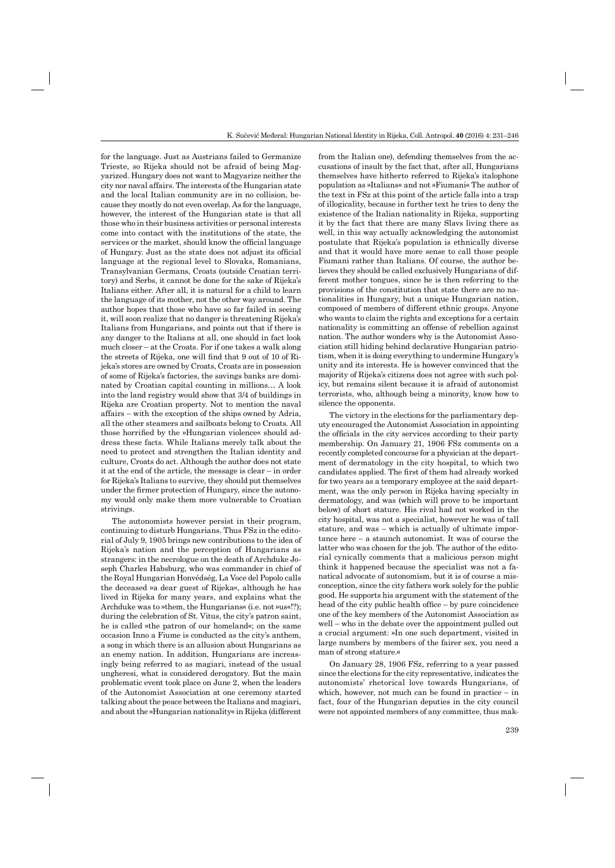for the language. Just as Austrians failed to Germanize Trieste, so Rijeka should not be afraid of being Magyarized. Hungary does not want to Magyarize neither the city nor naval affairs. The interests of the Hungarian state and the local Italian community are in no collision, because they mostly do not even overlap. As for the language, however, the interest of the Hungarian state is that all those who in their business activities or personal interests come into contact with the institutions of the state, the services or the market, should know the official language of Hungary. Just as the state does not adjust its official language at the regional level to Slovaks, Romanians, Transylvanian Germans, Croats (outside Croatian territory) and Serbs, it cannot be done for the sake of Rijeka's Italians either. After all, it is natural for a child to learn the language of its mother, not the other way around. The author hopes that those who have so far failed in seeing it, will soon realize that no danger is threatening Rijeka's Italians from Hungarians, and points out that if there is any danger to the Italians at all, one should in fact look much closer – at the Croats. For if one takes a walk along the streets of Rijeka, one will find that 9 out of 10 of Rijeka's stores are owned by Croats, Croats are in possession of some of Rijeka's factories, the savings banks are dominated by Croatian capital counting in millions… A look into the land registry would show that 3/4 of buildings in Rijeka are Croatian property. Not to mention the naval affairs – with the exception of the ships owned by Adria, all the other steamers and sailboats belong to Croats. All those horrified by the »Hungarian violence« should address these facts. While Italians merely talk about the need to protect and strengthen the Italian identity and culture, Croats do act. Although the author does not state it at the end of the article, the message is clear – in order for Rijeka's Italians to survive, they should put themselves under the firmer protection of Hungary, since the autonomy would only make them more vulnerable to Croatian strivings.

The autonomists however persist in their program, continuing to disturb Hungarians. Thus FSz in the editorial of July 9, 1905 brings new contributions to the idea of Rijeka's nation and the perception of Hungarians as strangers: in the necrologue on the death of Archduke Joseph Charles Habsburg, who was commander in chief of the Royal Hungarian Honvédség, La Voce del Popolo calls the deceased »a dear guest of Rijeka«, although he has lived in Rijeka for many years, and explains what the Archduke was to »them, the Hungarians« (i.e. not »us«!?); during the celebration of St. Vitus, the city's patron saint, he is called »the patron of our homeland«; on the same occasion Inno a Fiume is conducted as the city's anthem, a song in which there is an allusion about Hungarians as an enemy nation. In addition, Hungarians are increasingly being referred to as magiari, instead of the usual ungheresi, what is considered derogatory. But the main problematic event took place on June 2, when the leaders of the Autonomist Association at one ceremony started talking about the peace between the Italians and magiari, and about the »Hungarian nationality« in Rijeka (different

from the Italian one), defending themselves from the accusations of insult by the fact that, after all, Hungarians themselves have hitherto referred to Rijeka's italophone population as »Italians« and not »Fiumani« The author of the text in FSz at this point of the article falls into a trap of illogicality, because in further text he tries to deny the existence of the Italian nationality in Rijeka, supporting it by the fact that there are many Slavs living there as well, in this way actually acknowledging the autonomist postulate that Rijeka's population is ethnically diverse and that it would have more sense to call those people Fiumani rather than Italians. Of course, the author believes they should be called exclusively Hungarians of different mother tongues, since he is then referring to the provisions of the constitution that state there are no nationalities in Hungary, but a unique Hungarian nation, composed of members of different ethnic groups. Anyone who wants to claim the rights and exceptions for a certain nationality is committing an offense of rebellion against nation. The author wonders why is the Autonomist Association still hiding behind declarative Hungarian patriotism, when it is doing everything to undermine Hungary's unity and its interests. He is however convinced that the majority of Rijeka's citizens does not agree with such policy, but remains silent because it is afraid of autonomist terrorists, who, although being a minority, know how to silence the opponents.

The victory in the elections for the parliamentary deputy encouraged the Autonomist Association in appointing the officials in the city services according to their party membership. On January 21, 1906 FSz comments on a recently completed concourse for a physician at the department of dermatology in the city hospital, to which two candidates applied. The first of them had already worked for two years as a temporary employee at the said department, was the only person in Rijeka having specialty in dermatology, and was (which will prove to be important below) of short stature. His rival had not worked in the city hospital, was not a specialist, however he was of tall stature, and was – which is actually of ultimate importance here – a staunch autonomist. It was of course the latter who was chosen for the job. The author of the editorial cynically comments that a malicious person might think it happened because the specialist was not a fanatical advocate of autonomism, but it is of course a misconception, since the city fathers work solely for the public good. He supports his argument with the statement of the head of the city public health office  $-$  by pure coincidence one of the key members of the Autonomist Association as well – who in the debate over the appointment pulled out a crucial argument: »In one such department, visited in large numbers by members of the fairer sex, you need a man of strong stature.«

On January 28, 1906 FSz, referring to a year passed since the elections for the city representative, indicates the autonomists' rhetorical love towards Hungarians, of which, however, not much can be found in practice  $-$  in fact, four of the Hungarian deputies in the city council were not appointed members of any committee, thus mak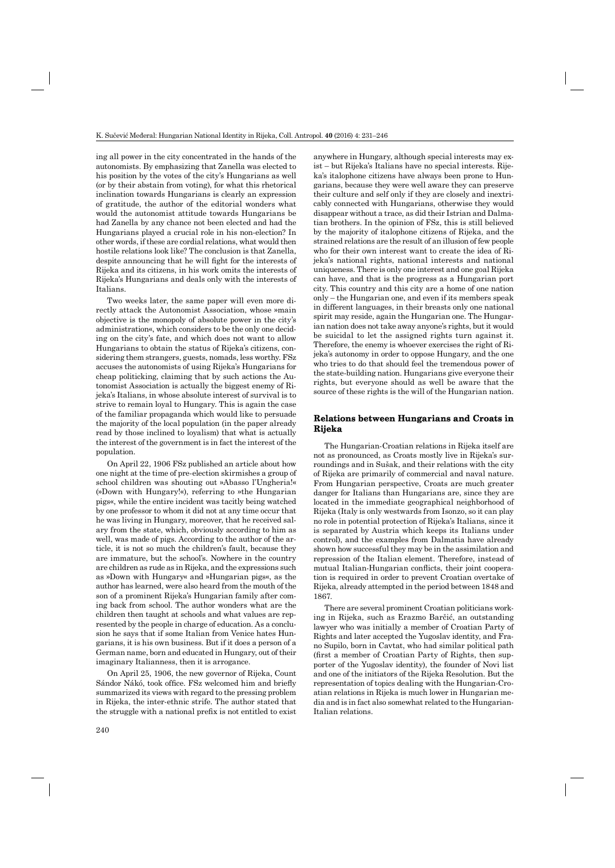ing all power in the city concentrated in the hands of the autonomists. By emphasizing that Zanella was elected to his position by the votes of the city's Hungarians as well (or by their abstain from voting), for what this rhetorical inclination towards Hungarians is clearly an expression of gratitude, the author of the editorial wonders what would the autonomist attitude towards Hungarians be had Zanella by any chance not been elected and had the Hungarians played a crucial role in his non-election? In other words, if these are cordial relations, what would then hostile relations look like? The conclusion is that Zanella, despite announcing that he will fight for the interests of Rijeka and its citizens, in his work omits the interests of Rijeka's Hungarians and deals only with the interests of Italians.

Two weeks later, the same paper will even more directly attack the Autonomist Association, whose »main objective is the monopoly of absolute power in the city's administration«, which considers to be the only one deciding on the city's fate, and which does not want to allow Hungarians to obtain the status of Rijeka's citizens, considering them strangers, guests, nomads, less worthy. FSz accuses the autonomists of using Rijeka's Hungarians for cheap politicking, claiming that by such actions the Autonomist Association is actually the biggest enemy of Rijeka's Italians, in whose absolute interest of survival is to strive to remain loyal to Hungary. This is again the case of the familiar propaganda which would like to persuade the majority of the local population (in the paper already read by those inclined to loyalism) that what is actually the interest of the government is in fact the interest of the population.

On April 22, 1906 FSz published an article about how one night at the time of pre-election skirmishes a group of school children was shouting out »Abasso l'Ungheria!« (»Down with Hungary!«), referring to »the Hungarian pigs«, while the entire incident was tacitly being watched by one professor to whom it did not at any time occur that he was living in Hungary, moreover, that he received salary from the state, which, obviously according to him as well, was made of pigs. According to the author of the article, it is not so much the children's fault, because they are immature, but the school's. Nowhere in the country are children as rude as in Rijeka, and the expressions such as »Down with Hungary« and »Hungarian pigs«, as the author has learned, were also heard from the mouth of the son of a prominent Rijeka's Hungarian family after coming back from school. The author wonders what are the children then taught at schools and what values are represented by the people in charge of education. As a conclusion he says that if some Italian from Venice hates Hungarians, it is his own business. But if it does a person of a German name, born and educated in Hungary, out of their imaginary Italianness, then it is arrogance.

On April 25, 1906, the new governor of Rijeka, Count Sándor Nákó, took office. FSz welcomed him and briefly summarized its views with regard to the pressing problem in Rijeka, the inter-ethnic strife. The author stated that the struggle with a national prefix is not entitled to exist

anywhere in Hungary, although special interests may exist – but Rijeka's Italians have no special interests. Rijeka's italophone citizens have always been prone to Hungarians, because they were well aware they can preserve their culture and self only if they are closely and inextricably connected with Hungarians, otherwise they would disappear without a trace, as did their Istrian and Dalmatian brothers. In the opinion of FSz, this is still believed by the majority of italophone citizens of Rijeka, and the strained relations are the result of an illusion of few people who for their own interest want to create the idea of Rijeka's national rights, national interests and national uniqueness. There is only one interest and one goal Rijeka can have, and that is the progress as a Hungarian port city. This country and this city are a home of one nation only – the Hungarian one, and even if its members speak in different languages, in their breasts only one national spirit may reside, again the Hungarian one. The Hungarian nation does not take away anyone's rights, but it would be suicidal to let the assigned rights turn against it. Therefore, the enemy is whoever exercises the right of Rijeka's autonomy in order to oppose Hungary, and the one who tries to do that should feel the tremendous power of the state-building nation. Hungarians give everyone their rights, but everyone should as well be aware that the source of these rights is the will of the Hungarian nation.

## **Relations between Hungarians and Croats in Croats Rijeka**

The Hungarian-Croatian relations in Rijeka itself are not as pronounced, as Croats mostly live in Rijeka's surroundings and in Sušak, and their relations with the city of Rijeka are primarily of commercial and naval nature. From Hungarian perspective, Croats are much greater danger for Italians than Hungarians are, since they are located in the immediate geographical neighborhood of Rijeka (Italy is only westwards from Isonzo, so it can play no role in potential protection of Rijeka's Italians, since it is separated by Austria which keeps its Italians under control), and the examples from Dalmatia have already shown how successful they may be in the assimilation and repression of the Italian element. Therefore, instead of mutual Italian-Hungarian conflicts, their joint cooperation is required in order to prevent Croatian overtake of Rijeka, already attempted in the period between 1848 and 1867.

There are several prominent Croatian politicians working in Rijeka, such as Erazmo Barčić, an outstanding lawyer who was initially a member of Croatian Party of Rights and later accepted the Yugoslav identity, and Frano Supilo, born in Cavtat, who had similar political path (first a member of Croatian Party of Rights, then supporter of the Yugoslav identity), the founder of Novi list and one of the initiators of the Rijeka Resolution. But the representation of topics dealing with the Hungarian-Croatian relations in Rijeka is much lower in Hungarian media and is in fact also somewhat related to the Hungarian-Italian relations.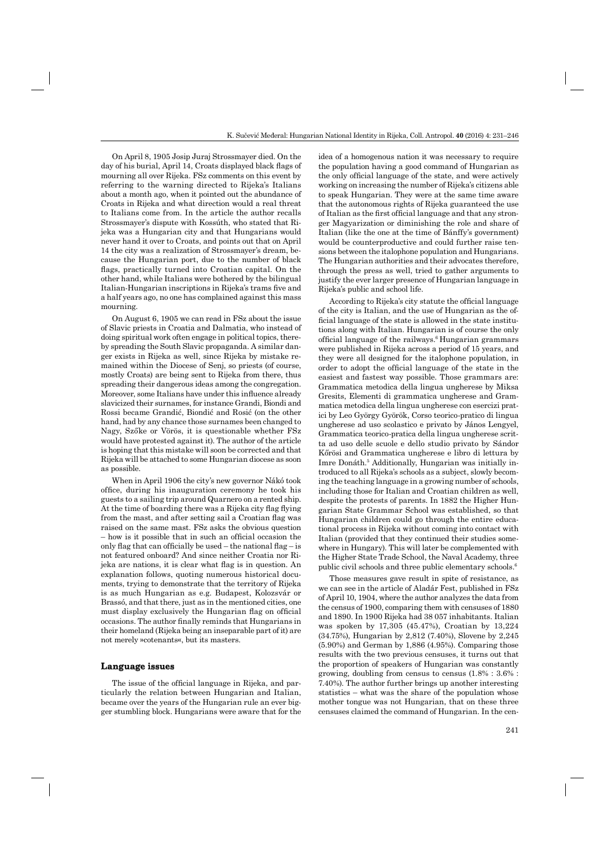On April 8, 1905 Josip Juraj Strossmayer died. On the day of his burial, April 14, Croats displayed black flags of mourning all over Rijeka. FSz comments on this event by referring to the warning directed to Rijeka's Italians about a month ago, when it pointed out the abundance of Croats in Rijeka and what direction would a real threat to Italians come from. In the article the author recalls Strossmayer's dispute with Kossúth, who stated that Rijeka was a Hungarian city and that Hungarians would never hand it over to Croats, and points out that on April 14 the city was a realization of Strossmayer's dream, because the Hungarian port, due to the number of black flags, practically turned into Croatian capital. On the other hand, while Italians were bothered by the bilingual Italian-Hungarian inscriptions in Rijeka's trams five and a half years ago, no one has complained against this mass mourning.

On August 6, 1905 we can read in FSz about the issue of Slavic priests in Croatia and Dalmatia, who instead of doing spiritual work often engage in political topics, thereby spreading the South Slavic propaganda. A similar danger exists in Rijeka as well, since Rijeka by mistake remained within the Diocese of Senj, so priests (of course, mostly Croats) are being sent to Rijeka from there, thus spreading their dangerous ideas among the congregation. Moreover, some Italians have under this influence already slavicized their surnames, for instance Grandi, Biondi and Rossi became Grandić, Biondić and Rosić (on the other hand, had by any chance those surnames been changed to Nagy, Szőke or Vörös, it is questionable whether FSz would have protested against it). The author of the article is hoping that this mistake will soon be corrected and that Rijeka will be attached to some Hungarian diocese as soon as possible.

When in April 1906 the city's new governor Nákó took office, during his inauguration ceremony he took his guests to a sailing trip around Quarnero on a rented ship. At the time of boarding there was a Rijeka city flag flying from the mast, and after setting sail a Croatian flag was raised on the same mast. FSz asks the obvious question  $-$  how is it possible that in such an official occasion the only flag that can officially be used – the national flag – is not featured onboard? And since neither Croatia nor Rijeka are nations, it is clear what flag is in question. An explanation follows, quoting numerous historical documents, trying to demonstrate that the territory of Rijeka is as much Hungarian as e.g. Budapest, Kolozsvár or Brassó, and that there, just as in the mentioned cities, one must display exclusively the Hungarian flag on official occasions. The author finally reminds that Hungarians in their homeland (Rijeka being an inseparable part of it) are not merely »cotenants«, but its masters.

#### **Language issues**

The issue of the official language in Rijeka, and particularly the relation between Hungarian and Italian, became over the years of the Hungarian rule an ever bigger stumbling block. Hungarians were aware that for the idea of a homogenous nation it was necessary to require the population having a good command of Hungarian as the only official language of the state, and were actively working on increasing the number of Rijeka's citizens able to speak Hungarian. They were at the same time aware that the autonomous rights of Rijeka guaranteed the use of Italian as the first official language and that any stronger Magyarization or diminishing the role and share of Italian (like the one at the time of Bánffy's government) would be counterproductive and could further raise tensions between the italophone population and Hungarians. The Hungarian authorities and their advocates therefore, through the press as well, tried to gather arguments to justify the ever larger presence of Hungarian language in Rijeka's public and school life.

According to Rijeka's city statute the official language of the city is Italian, and the use of Hungarian as the official language of the state is allowed in the state institutions along with Italian. Hungarian is of course the only official language of the railways.<sup>6</sup> Hungarian grammars were published in Rijeka across a period of 15 years, and they were all designed for the italophone population, in order to adopt the official language of the state in the easiest and fastest way possible. Those grammars are: Grammatica metodica della lingua ungherese by Miksa Gresits, Elementi di grammatica ungherese and Grammatica metodica della lingua ungherese con esercizi pratici by Leo György Györök, Corso teorico-pratico di lingua ungherese ad uso scolastico e privato by János Lengyel, Grammatica teorico-pratica della lingua ungherese scritta ad uso delle scuole e dello studio privato by Sándor Kőrösi and Grammatica ungherese e libro di lettura by Imre Donáth.<sup>5</sup> Additionally, Hungarian was initially introduced to all Rijeka's schools as a subject, slowly becoming the teaching language in a growing number of schools, including those for Italian and Croatian children as well, despite the protests of parents. In 1882 the Higher Hungarian State Grammar School was established, so that Hungarian children could go through the entire educational process in Rijeka without coming into contact with Italian (provided that they continued their studies somewhere in Hungary). This will later be complemented with the Higher State Trade School, the Naval Academy, three public civil schools and three public elementary schools.6

Those measures gave result in spite of resistance, as we can see in the article of Aladár Fest, published in FSz of April 10, 1904, where the author analyzes the data from the census of 1900, comparing them with censuses of 1880 and 1890. In 1900 Rijeka had 38 057 inhabitants. Italian was spoken by 17,305 (45.47%), Croatian by 13,224 (34.75%), Hungarian by 2,812 (7.40%), Slovene by 2,245 (5.90%) and German by 1,886 (4.95%). Comparing those results with the two previous censuses, it turns out that the proportion of speakers of Hungarian was constantly growing, doubling from census to census (1.8% : 3.6% : 7.40%). The author further brings up another interesting statistics – what was the share of the population whose mother tongue was not Hungarian, that on these three censuses claimed the command of Hungarian. In the cen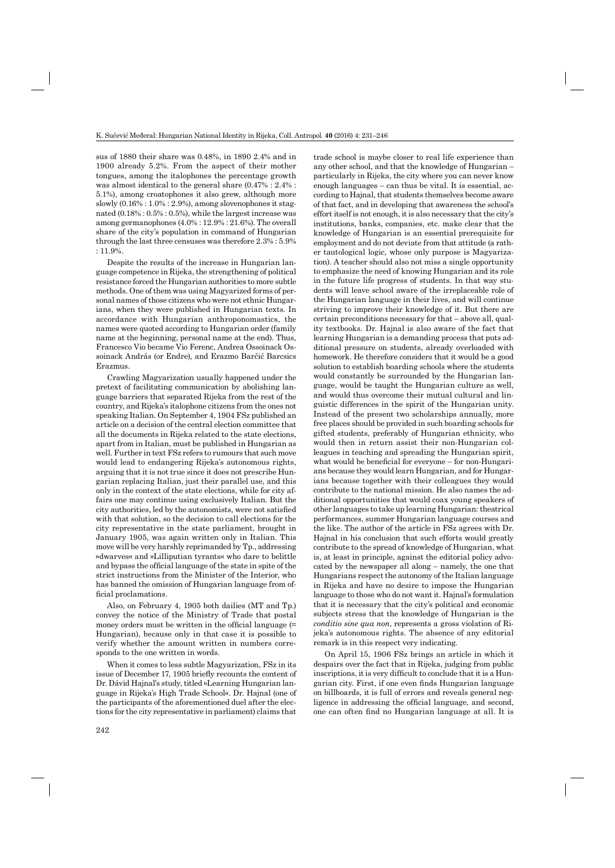sus of 1880 their share was 0.48%, in 1890 2.4% and in 1900 already 5.2%. From the aspect of their mother tongues, among the italophones the percentage growth was almost identical to the general share (0.47% : 2.4% : 5.1%), among croatophones it also grew, although more slowly  $(0.16\% : 1.0\% : 2.9\%)$ , among slovenophones it stagnated (0.18% : 0.5% : 0.5%), while the largest increase was among germanophones (4.0% : 12.9% : 21.6%). The overall share of the city's population in command of Hungarian through the last three censuses was therefore 2.3% : 5.9% : 11.9%.

Despite the results of the increase in Hungarian language competence in Rijeka, the strengthening of political resistance forced the Hungarian authorities to more subtle methods. One of them was using Magyarized forms of personal names of those citizens who were not ethnic Hungarians, when they were published in Hungarian texts. In accordance with Hungarian anthroponomastics, the names were quoted according to Hungarian order (family name at the beginning, personal name at the end). Thus, Francesco Vio became Vio Ferenc, Andrea Ossoinack Ossoinack András (or Endre), and Erazmo Barčić Barcsics Erazmus.

Crawling Magyarization usually happened under the pretext of facilitating communication by abolishing language barriers that separated Rijeka from the rest of the country, and Rijeka's italophone citizens from the ones not speaking Italian. On September 4, 1904 FSz published an article on a decision of the central election committee that all the documents in Rijeka related to the state elections, apart from in Italian, must be published in Hungarian as well. Further in text FSz refers to rumours that such move would lead to endangering Rijeka's autonomous rights, arguing that it is not true since it does not prescribe Hungarian replacing Italian, just their parallel use, and this only in the context of the state elections, while for city affairs one may continue using exclusively Italian. But the city authorities, led by the autonomists, were not satisfied with that solution, so the decision to call elections for the city representative in the state parliament, brought in January 1905, was again written only in Italian. This move will be very harshly reprimanded by Tp., addressing »dwarves« and »Lilliputian tyrants« who dare to belittle and bypass the official language of the state in spite of the strict instructions from the Minister of the Interior, who has banned the omission of Hungarian language from official proclamations.

Also, on February 4, 1905 both dailies (MT and Tp.) convey the notice of the Ministry of Trade that postal money orders must be written in the official language  $(=$ Hungarian), because only in that case it is possible to verify whether the amount written in numbers corresponds to the one written in words.

When it comes to less subtle Magyarization, FSz in its issue of December 17, 1905 briefly recounts the content of Dr. Dávid Hajnal's study, titled »Learning Hungarian language in Rijeka's High Trade School«. Dr. Hajnal (one of the participants of the aforementioned duel after the elections for the city representative in parliament) claims that

trade school is maybe closer to real life experience than any other school, and that the knowledge of Hungarian – particularly in Rijeka, the city where you can never know enough languages – can thus be vital. It is essential, according to Hajnal, that students themselves become aware of that fact, and in developing that awareness the school's effort itself is not enough, it is also necessary that the city's institutions, banks, companies, etc. make clear that the knowledge of Hungarian is an essential prerequisite for employment and do not deviate from that attitude (a rather tautological logic, whose only purpose is Magyarization). A teacher should also not miss a single opportunity to emphasize the need of knowing Hungarian and its role in the future life progress of students. In that way students will leave school aware of the irreplaceable role of the Hungarian language in their lives, and will continue striving to improve their knowledge of it. But there are certain preconditions necessary for that – above all, quality textbooks. Dr. Hajnal is also aware of the fact that learning Hungarian is a demanding process that puts additional pressure on students, already overloaded with homework. He therefore considers that it would be a good solution to establish boarding schools where the students would constantly be surrounded by the Hungarian language, would be taught the Hungarian culture as well, and would thus overcome their mutual cultural and linguistic differences in the spirit of the Hungarian unity. Instead of the present two scholarships annually, more free places should be provided in such boarding schools for gifted students, preferably of Hungarian ethnicity, who would then in return assist their non-Hungarian colleagues in teaching and spreading the Hungarian spirit, what would be beneficial for everyone  $-$  for non-Hungarians because they would learn Hungarian, and for Hungarians because together with their colleagues they would contribute to the national mission. He also names the additional opportunities that would coax young speakers of other languages to take up learning Hungarian: theatrical performances, summer Hungarian language courses and the like. The author of the article in FSz agrees with Dr. Hajnal in his conclusion that such efforts would greatly contribute to the spread of knowledge of Hungarian, what is, at least in principle, against the editorial policy advocated by the newspaper all along – namely, the one that Hungarians respect the autonomy of the Italian language in Rijeka and have no desire to impose the Hungarian language to those who do not want it. Hajnal's formulation that it is necessary that the city's political and economic subjects stress that the knowledge of Hungarian is the *conditio sine qua non*, represents a gross violation of Rijeka's autonomous rights. The absence of any editorial remark is in this respect very indicating.

On April 15, 1906 FSz brings an article in which it despairs over the fact that in Rijeka, judging from public inscriptions, it is very difficult to conclude that it is a Hungarian city. First, if one even finds Hungarian language on billboards, it is full of errors and reveals general negligence in addressing the official language, and second, one can often find no Hungarian language at all. It is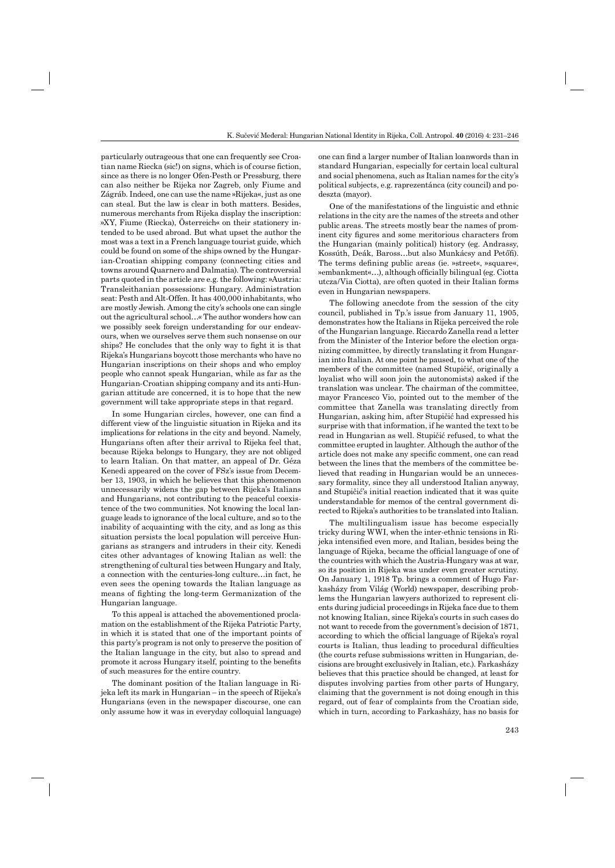particularly outrageous that one can frequently see Croatian name Riecka (sic!) on signs, which is of course fiction, since as there is no longer Ofen-Pesth or Pressburg, there can also neither be Rijeka nor Zagreb, only Fiume and Zágráb. Indeed, one can use the name »Rijeka«, just as one can steal. But the law is clear in both matters. Besides, numerous merchants from Rijeka display the inscription: »XY, Fiume (Riecka), Österreich« on their stationery intended to be used abroad. But what upset the author the most was a text in a French language tourist guide, which could be found on some of the ships owned by the Hungarian-Croatian shipping company (connecting cities and towns around Quarnero and Dalmatia). The controversial parts quoted in the article are e.g. the following: »Austria: Transleithanian possessions: Hungary. Administration seat: Pesth and Alt-Offen. It has 400,000 inhabitants, who are mostly Jewish. Among the city's schools one can single out the agricultural school…« The author wonders how can we possibly seek foreign understanding for our endeavours, when we ourselves serve them such nonsense on our ships? He concludes that the only way to fight it is that Rijeka's Hungarians boycott those merchants who have no Hungarian inscriptions on their shops and who employ people who cannot speak Hungarian, while as far as the Hungarian-Croatian shipping company and its anti-Hungarian attitude are concerned, it is to hope that the new government will take appropriate steps in that regard.

In some Hungarian circles, however, one can find a different view of the linguistic situation in Rijeka and its implications for relations in the city and beyond. Namely, Hungarians often after their arrival to Rijeka feel that, because Rijeka belongs to Hungary, they are not obliged to learn Italian. On that matter, an appeal of Dr. Géza Kenedi appeared on the cover of FSz's issue from December 13, 1903, in which he believes that this phenomenon unnecessarily widens the gap between Rijeka's Italians and Hungarians, not contributing to the peaceful coexistence of the two communities. Not knowing the local language leads to ignorance of the local culture, and so to the inability of acquainting with the city, and as long as this situation persists the local population will perceive Hungarians as strangers and intruders in their city. Kenedi cites other advantages of knowing Italian as well: the strengthening of cultural ties between Hungary and Italy, a connection with the centuries-long culture…in fact, he even sees the opening towards the Italian language as means of fighting the long-term Germanization of the Hungarian language.

To this appeal is attached the abovementioned proclamation on the establishment of the Rijeka Patriotic Party, in which it is stated that one of the important points of this party's program is not only to preserve the position of the Italian language in the city, but also to spread and promote it across Hungary itself, pointing to the benefits of such measures for the entire country.

The dominant position of the Italian language in Rijeka left its mark in Hungarian – in the speech of Rijeka's Hungarians (even in the newspaper discourse, one can only assume how it was in everyday colloquial language) one can find a larger number of Italian loanwords than in standard Hungarian, especially for certain local cultural and social phenomena, such as Italian names for the city's political subjects, e.g. raprezentánca (city council) and podeszta (mayor).

One of the manifestations of the linguistic and ethnic relations in the city are the names of the streets and other public areas. The streets mostly bear the names of prominent city figures and some meritorious characters from the Hungarian (mainly political) history (eg. Andrassy, Kossúth, Deák, Baross...but also Munkácsy and Petőfi). The terms defining public areas (ie. »street«, »square«, »embankment«…), although officially bilingual (eg. Ciotta utcza/Via Ciotta), are often quoted in their Italian forms even in Hungarian newspapers.

The following anecdote from the session of the city council, published in Tp.'s issue from January 11, 1905, demonstrates how the Italians in Rijeka perceived the role of the Hungarian language. Riccardo Zanella read a letter from the Minister of the Interior before the election organizing committee, by directly translating it from Hungarian into Italian. At one point he paused, to what one of the members of the committee (named Stupičić, originally a loyalist who will soon join the autonomists) asked if the translation was unclear. The chairman of the committee, mayor Francesco Vio, pointed out to the member of the committee that Zanella was translating directly from Hungarian, asking him, after Stupičić had expressed his surprise with that information, if he wanted the text to be read in Hungarian as well. Stupičić refused, to what the committee erupted in laughter. Although the author of the article does not make any specific comment, one can read between the lines that the members of the committee believed that reading in Hungarian would be an unnecessary formality, since they all understood Italian anyway, and Stupičić's initial reaction indicated that it was quite understandable for memos of the central government directed to Rijeka's authorities to be translated into Italian.

The multilingualism issue has become especially tricky during WWI, when the inter-ethnic tensions in Rijeka intensified even more, and Italian, besides being the language of Rijeka, became the official language of one of the countries with which the Austria-Hungary was at war, so its position in Rijeka was under even greater scrutiny. On January 1, 1918 Tp. brings a comment of Hugo Farkasházy from Világ (World) newspaper, describing problems the Hungarian lawyers authorized to represent clients during judicial proceedings in Rijeka face due to them not knowing Italian, since Rijeka's courts in such cases do not want to recede from the government's decision of 1871, according to which the official language of Rijeka's royal courts is Italian, thus leading to procedural difficulties (the courts refuse submissions written in Hungarian, decisions are brought exclusively in Italian, etc.). Farkasházy believes that this practice should be changed, at least for disputes involving parties from other parts of Hungary, claiming that the government is not doing enough in this regard, out of fear of complaints from the Croatian side, which in turn, according to Farkasházy, has no basis for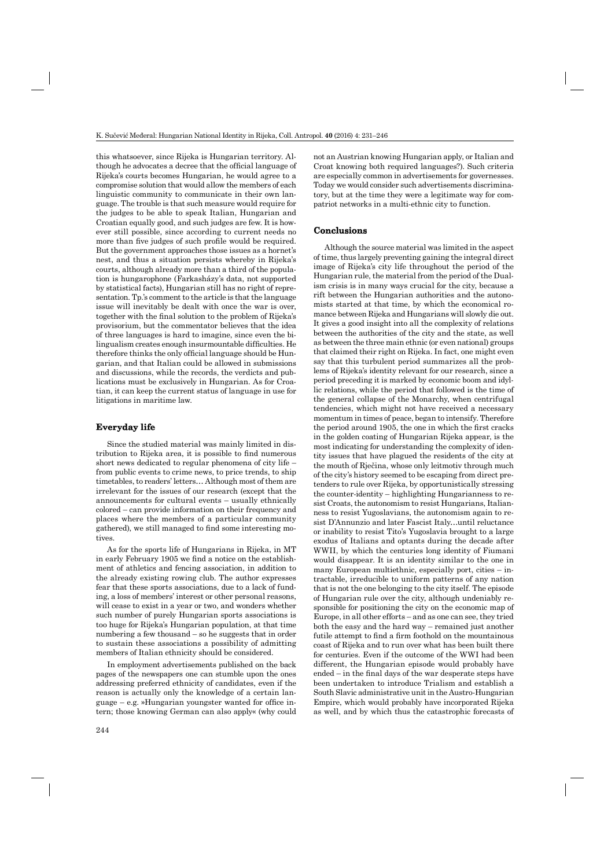this whatsoever, since Rijeka is Hungarian territory. Although he advocates a decree that the official language of Rijeka's courts becomes Hungarian, he would agree to a compromise solution that would allow the members of each linguistic community to communicate in their own language. The trouble is that such measure would require for the judges to be able to speak Italian, Hungarian and Croatian equally good, and such judges are few. It is however still possible, since according to current needs no more than five judges of such profile would be required. But the government approaches those issues as a hornet's nest, and thus a situation persists whereby in Rijeka's courts, although already more than a third of the population is hungarophone (Farkasházy's data, not supported by statistical facts), Hungarian still has no right of representation. Tp.'s comment to the article is that the language issue will inevitably be dealt with once the war is over, together with the final solution to the problem of Rijeka's provisorium, but the commentator believes that the idea of three languages is hard to imagine, since even the bilingualism creates enough insurmountable difficulties. He therefore thinks the only official language should be Hungarian, and that Italian could be allowed in submissions and discussions, while the records, the verdicts and publications must be exclusively in Hungarian. As for Croatian, it can keep the current status of language in use for litigations in maritime law.

## **Everyday life**

Since the studied material was mainly limited in distribution to Rijeka area, it is possible to find numerous short news dedicated to regular phenomena of city life – from public events to crime news, to price trends, to ship timetables, to readers' letters… Although most of them are irrelevant for the issues of our research (except that the announcements for cultural events – usually ethnically colored – can provide information on their frequency and places where the members of a particular community gathered), we still managed to find some interesting motives.

As for the sports life of Hungarians in Rijeka, in MT in early February 1905 we find a notice on the establishment of athletics and fencing association, in addition to the already existing rowing club. The author expresses fear that these sports associations, due to a lack of funding, a loss of members' interest or other personal reasons, will cease to exist in a year or two, and wonders whether such number of purely Hungarian sports associations is too huge for Rijeka's Hungarian population, at that time numbering a few thousand – so he suggests that in order to sustain these associations a possibility of admitting members of Italian ethnicity should be considered.

In employment advertisements published on the back pages of the newspapers one can stumble upon the ones addressing preferred ethnicity of candidates, even if the reason is actually only the knowledge of a certain language – e.g. »Hungarian youngster wanted for office intern; those knowing German can also apply« (why could

244

not an Austrian knowing Hungarian apply, or Italian and Croat knowing both required languages?). Such criteria are especially common in advertisements for governesses. Today we would consider such advertisements discriminatory, but at the time they were a legitimate way for compatriot networks in a multi-ethnic city to function.

## **Conclusions**

Although the source material was limited in the aspect of time, thus largely preventing gaining the integral direct image of Rijeka's city life throughout the period of the Hungarian rule, the material from the period of the Dualism crisis is in many ways crucial for the city, because a rift between the Hungarian authorities and the autonomists started at that time, by which the economical romance between Rijeka and Hungarians will slowly die out. It gives a good insight into all the complexity of relations between the authorities of the city and the state, as well as between the three main ethnic (or even national) groups that claimed their right on Rijeka. In fact, one might even say that this turbulent period summarizes all the problems of Rijeka's identity relevant for our research, since a period preceding it is marked by economic boom and idyllic relations, while the period that followed is the time of the general collapse of the Monarchy, when centrifugal tendencies, which might not have received a necessary momentum in times of peace, began to intensify. Therefore the period around 1905, the one in which the first cracks in the golden coating of Hungarian Rijeka appear, is the most indicating for understanding the complexity of identity issues that have plagued the residents of the city at the mouth of Rječina, whose only leitmotiv through much of the city's history seemed to be escaping from direct pretenders to rule over Rijeka, by opportunistically stressing the counter-identity – highlighting Hungarianness to resist Croats, the autonomism to resist Hungarians, Italianness to resist Yugoslavians, the autonomism again to resist D'Annunzio and later Fascist Italy…until reluctance or inability to resist Tito's Yugoslavia brought to a large exodus of Italians and optants during the decade after WWII, by which the centuries long identity of Fiumani would disappear. It is an identity similar to the one in many European multiethnic, especially port, cities – intractable, irreducible to uniform patterns of any nation that is not the one belonging to the city itself. The episode of Hungarian rule over the city, although undeniably responsible for positioning the city on the economic map of Europe, in all other efforts – and as one can see, they tried both the easy and the hard way – remained just another futile attempt to find a firm foothold on the mountainous coast of Rijeka and to run over what has been built there for centuries. Even if the outcome of the WWI had been different, the Hungarian episode would probably have ended  $-$  in the final days of the war desperate steps have been undertaken to introduce Trialism and establish a South Slavic administrative unit in the Austro-Hungarian Empire, which would probably have incorporated Rijeka as well, and by which thus the catastrophic forecasts of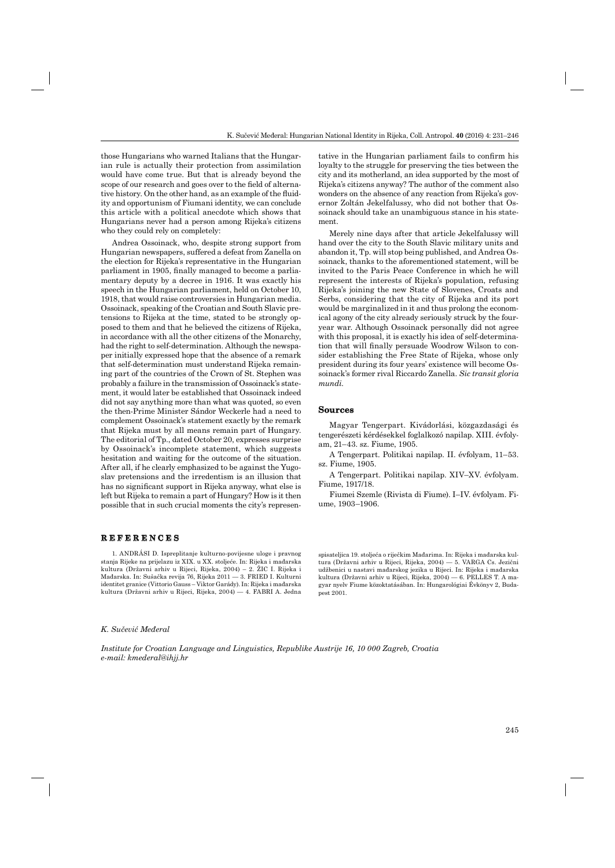those Hungarians who warned Italians that the Hungarian rule is actually their protection from assimilation would have come true. But that is already beyond the scope of our research and goes over to the field of alternative history. On the other hand, as an example of the fluidity and opportunism of Fiumani identity, we can conclude this article with a political anecdote which shows that Hungarians never had a person among Rijeka's citizens who they could rely on completely:

Andrea Ossoinack, who, despite strong support from Hungarian newspapers, suffered a defeat from Zanella on the election for Rijeka's representative in the Hungarian parliament in 1905, finally managed to become a parliamentary deputy by a decree in 1916. It was exactly his speech in the Hungarian parliament, held on October 10, 1918, that would raise controversies in Hungarian media. Ossoinack, speaking of the Croatian and South Slavic pretensions to Rijeka at the time, stated to be strongly opposed to them and that he believed the citizens of Rijeka, in accordance with all the other citizens of the Monarchy, had the right to self-determination. Although the newspaper initially expressed hope that the absence of a remark that self-determination must understand Rijeka remaining part of the countries of the Crown of St. Stephen was probably a failure in the transmission of Ossoinack's statement, it would later be established that Ossoinack indeed did not say anything more than what was quoted, so even the then-Prime Minister Sándor Weckerle had a need to complement Ossoinack's statement exactly by the remark that Rijeka must by all means remain part of Hungary. The editorial of Tp., dated October 20, expresses surprise by Ossoinack's incomplete statement, which suggests hesitation and waiting for the outcome of the situation. After all, if he clearly emphasized to be against the Yugoslav pretensions and the irredentism is an illusion that has no significant support in Rijeka anyway, what else is left but Rijeka to remain a part of Hungary? How is it then possible that in such crucial moments the city's represen-

## **R E F E R E N C E S REFERENCES**

1. ANDRÁSI D. Ispreplitanje kulturno-povijesne uloge i pravnog stanja Rijeke na prijelazu iz XIX. u XX. stoljeće. In: Rijeka i mađarska kultura (Državni arhiv u Rijeci, Rijeka, 2004) – 2. ŽIC I. Rijeka i Mađarska. In: Sušačka revija 76, Rijeka 2011 — 3. FRIED I. Kulturni identitet granice (Vittorio Gauss – Viktor Garády). In: Rijeka i mađarska kultura (Državni arhiv u Rijeci, Rijeka, 2004) — 4. FABRI A. Jedna

tative in the Hungarian parliament fails to confirm his loyalty to the struggle for preserving the ties between the city and its motherland, an idea supported by the most of Rijeka's citizens anyway? The author of the comment also wonders on the absence of any reaction from Rijeka's governor Zoltán Jekelfalussy, who did not bother that Ossoinack should take an unambiguous stance in his statement.

Merely nine days after that article Jekelfalussy will hand over the city to the South Slavic military units and abandon it, Tp. will stop being published, and Andrea Ossoinack, thanks to the aforementioned statement, will be invited to the Paris Peace Conference in which he will represent the interests of Rijeka's population, refusing Rijeka's joining the new State of Slovenes, Croats and Serbs, considering that the city of Rijeka and its port would be marginalized in it and thus prolong the economical agony of the city already seriously struck by the fouryear war. Although Ossoinack personally did not agree with this proposal, it is exactly his idea of self-determination that will finally persuade Woodrow Wilson to consider establishing the Free State of Rijeka, whose only president during its four years' existence will become Ossoinack's former rival Riccardo Zanella. *Sic transit gloria mundi.*

#### **Sources**

Magyar Tengerpart. Kivádorlási, közgazdasági és tengerészeti kérdésekkel foglalkozó napilap. XIII. évfolyam, 21–43. sz. Fiume, 1905.

A Tengerpart. Politikai napilap. II. évfolyam, 11–53. sz. Fiume, 1905.

A Tengerpart. Politikai napilap. XIV–XV. évfolyam. Fiume, 1917/18.

Fiumei Szemle (Rivista di Fiume). I–IV. évfolyam. Fiume, 1903–1906.

spisateljica 19. stoljeća o riječkim Mađarima. In: Rijeka i mađarska kultura (Državni arhiv u Rijeci, Rijeka, 2004) — 5. VARGA Cs. Jezični udžbenici u nastavi mađarskog jezika u Rijeci. In: Rijeka i mađarska kultura (Državni arhiv u Rijeci, Rijeka, 2004) — 6. PELLES T. A magyar nyelv Fiume közoktatásában. In: Hungarológiai Évkönyv 2, Budapest 2001.

#### *K. Sučević Međeral*

*Institute for Croatian Language and Linguistics, Republike Austrije 16, 10 000 Zagreb, Croatia e-mail: kmederal@ihjj.hr*